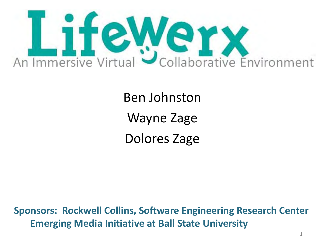

Ben Johnston Wayne Zage Dolores Zage

**Sponsors: Rockwell Collins, Software Engineering Research Center Emerging Media Initiative at Ball State University**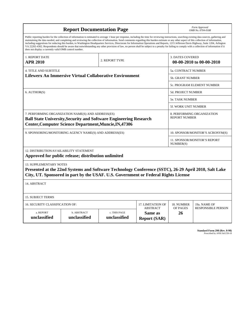| <b>Report Documentation Page</b>                                                                                                                                                                                                                                                                                                                                                                                                                                                                                                                                                                                                                                                                                                                                                                                                                                   |                             |                              |                                                   | Form Approved<br>OMB No. 0704-0188               |                           |
|--------------------------------------------------------------------------------------------------------------------------------------------------------------------------------------------------------------------------------------------------------------------------------------------------------------------------------------------------------------------------------------------------------------------------------------------------------------------------------------------------------------------------------------------------------------------------------------------------------------------------------------------------------------------------------------------------------------------------------------------------------------------------------------------------------------------------------------------------------------------|-----------------------------|------------------------------|---------------------------------------------------|--------------------------------------------------|---------------------------|
| Public reporting burden for the collection of information is estimated to average 1 hour per response, including the time for reviewing instructions, searching existing data sources, gathering and<br>maintaining the data needed, and completing and reviewing the collection of information. Send comments regarding this burden estimate or any other aspect of this collection of information,<br>including suggestions for reducing this burden, to Washington Headquarters Services, Directorate for Information Operations and Reports, 1215 Jefferson Davis Highway, Suite 1204, Arlington<br>VA 22202-4302. Respondents should be aware that notwithstanding any other provision of law, no person shall be subject to a penalty for failing to comply with a collection of information if it<br>does not display a currently valid OMB control number. |                             |                              |                                                   |                                                  |                           |
| 1. REPORT DATE                                                                                                                                                                                                                                                                                                                                                                                                                                                                                                                                                                                                                                                                                                                                                                                                                                                     |                             |                              | <b>3. DATES COVERED</b>                           |                                                  |                           |
| <b>APR 2010</b>                                                                                                                                                                                                                                                                                                                                                                                                                                                                                                                                                                                                                                                                                                                                                                                                                                                    |                             | 2. REPORT TYPE               |                                                   | 00-00-2010 to 00-00-2010                         |                           |
| <b>4. TITLE AND SUBTITLE</b>                                                                                                                                                                                                                                                                                                                                                                                                                                                                                                                                                                                                                                                                                                                                                                                                                                       |                             |                              |                                                   | 5a. CONTRACT NUMBER                              |                           |
| <b>Lifewerx An Immersive Virtual Collaborative Environment</b>                                                                                                                                                                                                                                                                                                                                                                                                                                                                                                                                                                                                                                                                                                                                                                                                     |                             |                              |                                                   | 5b. GRANT NUMBER                                 |                           |
|                                                                                                                                                                                                                                                                                                                                                                                                                                                                                                                                                                                                                                                                                                                                                                                                                                                                    |                             |                              |                                                   | <b>5c. PROGRAM ELEMENT NUMBER</b>                |                           |
| 6. AUTHOR(S)                                                                                                                                                                                                                                                                                                                                                                                                                                                                                                                                                                                                                                                                                                                                                                                                                                                       |                             |                              |                                                   | <b>5d. PROJECT NUMBER</b>                        |                           |
|                                                                                                                                                                                                                                                                                                                                                                                                                                                                                                                                                                                                                                                                                                                                                                                                                                                                    |                             |                              |                                                   | <b>5e. TASK NUMBER</b>                           |                           |
|                                                                                                                                                                                                                                                                                                                                                                                                                                                                                                                                                                                                                                                                                                                                                                                                                                                                    |                             |                              |                                                   | <b>5f. WORK UNIT NUMBER</b>                      |                           |
| 7. PERFORMING ORGANIZATION NAME(S) AND ADDRESS(ES)<br>8. PERFORMING ORGANIZATION<br><b>REPORT NUMBER</b><br><b>Ball State University, Security and Software Engineering Research</b><br>Center, Computer Science Department, Muncie, IN, 47306                                                                                                                                                                                                                                                                                                                                                                                                                                                                                                                                                                                                                     |                             |                              |                                                   |                                                  |                           |
| 9. SPONSORING/MONITORING AGENCY NAME(S) AND ADDRESS(ES)                                                                                                                                                                                                                                                                                                                                                                                                                                                                                                                                                                                                                                                                                                                                                                                                            |                             |                              |                                                   | 10. SPONSOR/MONITOR'S ACRONYM(S)                 |                           |
|                                                                                                                                                                                                                                                                                                                                                                                                                                                                                                                                                                                                                                                                                                                                                                                                                                                                    |                             |                              |                                                   | <b>11. SPONSOR/MONITOR'S REPORT</b><br>NUMBER(S) |                           |
| 12. DISTRIBUTION/AVAILABILITY STATEMENT<br>Approved for public release; distribution unlimited                                                                                                                                                                                                                                                                                                                                                                                                                                                                                                                                                                                                                                                                                                                                                                     |                             |                              |                                                   |                                                  |                           |
| <b>13. SUPPLEMENTARY NOTES</b><br>Presented at the 22nd Systems and Software Technology Conference (SSTC), 26-29 April 2010, Salt Lake<br>City, UT. Sponsored in part by the USAF. U.S. Government or Federal Rights License                                                                                                                                                                                                                                                                                                                                                                                                                                                                                                                                                                                                                                       |                             |                              |                                                   |                                                  |                           |
| 14. ABSTRACT                                                                                                                                                                                                                                                                                                                                                                                                                                                                                                                                                                                                                                                                                                                                                                                                                                                       |                             |                              |                                                   |                                                  |                           |
| <b>15. SUBJECT TERMS</b>                                                                                                                                                                                                                                                                                                                                                                                                                                                                                                                                                                                                                                                                                                                                                                                                                                           |                             |                              |                                                   |                                                  |                           |
| 16. SECURITY CLASSIFICATION OF:<br>17. LIMITATION OF                                                                                                                                                                                                                                                                                                                                                                                                                                                                                                                                                                                                                                                                                                                                                                                                               |                             |                              |                                                   | 18. NUMBER                                       | 19a. NAME OF              |
| a. REPORT<br>unclassified                                                                                                                                                                                                                                                                                                                                                                                                                                                                                                                                                                                                                                                                                                                                                                                                                                          | b. ABSTRACT<br>unclassified | c. THIS PAGE<br>unclassified | <b>ABSTRACT</b><br>Same as<br><b>Report (SAR)</b> | OF PAGES<br>26                                   | <b>RESPONSIBLE PERSON</b> |

**Standard Form 298 (Rev. 8-98)**<br>Prescribed by ANSI Std Z39-18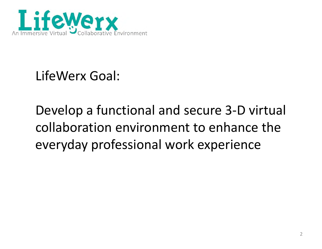

LifeWerx Goal:

# Develop <sup>a</sup> functional and secure 3‐D virtual collaboration environment to enhance the everyday professional work experience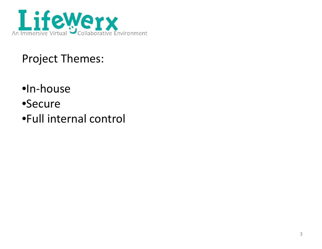

## Project Themes:

- •In‐house
- •Secure
- •Full internal control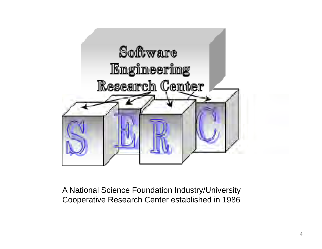

A National Science Foundation Industry/University Cooperative Research Center established in 1986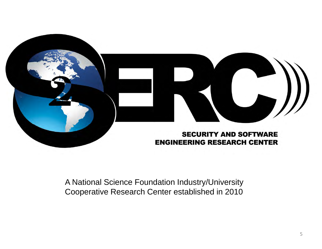

#### A National Science Foundation Industry/University Cooperative Research Center established in 2010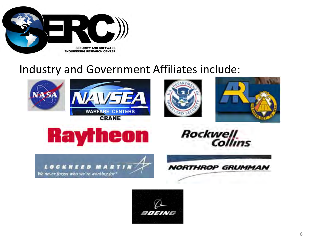

#### Industry and Government Affiliates include:











Rockwell





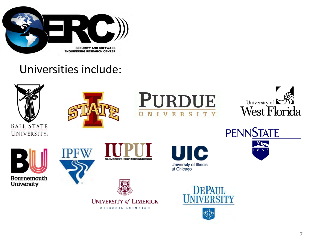

#### Universities include:









**PENNSTATE** 医红  $8<sub>5</sub>$ 







OLLSCOIL LUIMNIGH





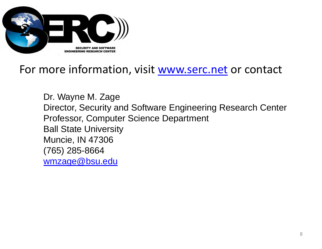

#### For more information, visit www.serc.net or contact

Dr. Wayne M. Zage Director, Security and Software Engineering Research Center Professor, Computer Science Department Ball State University Muncie, IN 47306 (765) 285-8664 wmzage@bsu.edu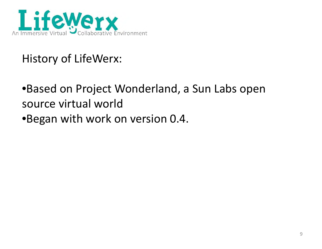

## History of LifeWerx:

- •Based on Project Wonderland, <sup>a</sup> Sun Labs open source virtual world
- •Began with work on version 0.4.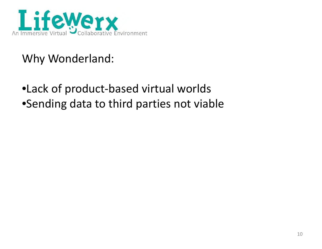

## Why Wonderland:

## •Lack of product‐based virtual worlds •Sending data to third parties not viable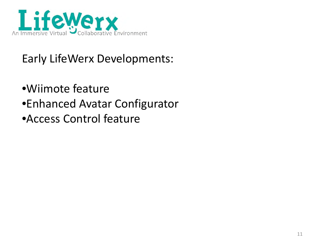

## Early LifeWerx Developments:

- •Wiimote feature
- •Enhanced Avatar Configurator
- •Access Control feature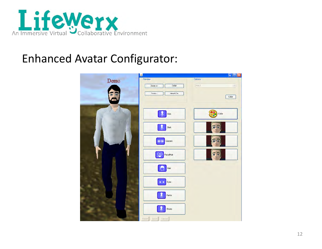

## Enhanced Avatar Configurator:

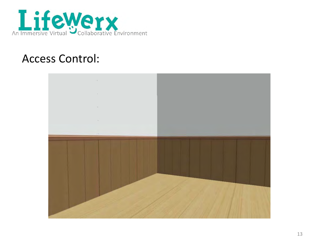

#### Access Control:

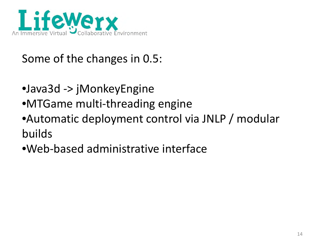

## Some of the changes in 0.5:

- •Java3d -> jMonkeyEngine
- •MTGame multi‐threading engine
- $\bullet$ Automatic deployment control via JNLP / modular builds
- •Web‐based administrative interface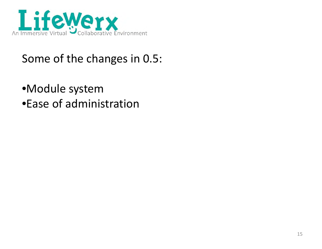

## Some of the changes in 0.5:

•Module system •Ease of administration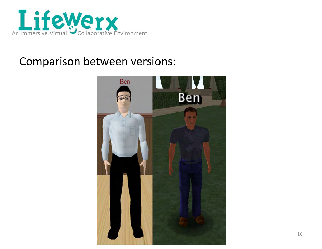

#### Comparison between versions:

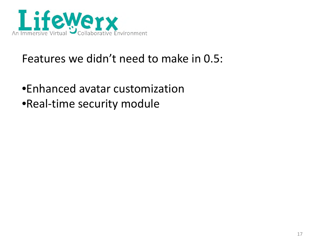

## Features we didn't need to make in 0.5:

•Enhanced avatar customization •Real‐time security module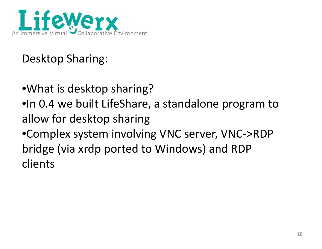

## Desktop Sharing:

- $\bullet$ What is desktop sharing?
- •In 0.4 we built LifeShare, <sup>a</sup> standalone program to allow for desktop sharing
- •Complex system involving VNC server, VNC‐>RDP bridge (via xrdp ported to Windows) and RDP clients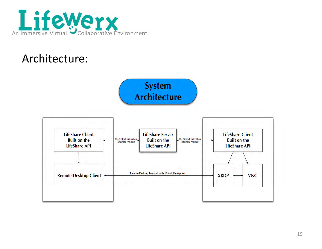

#### Architecture:

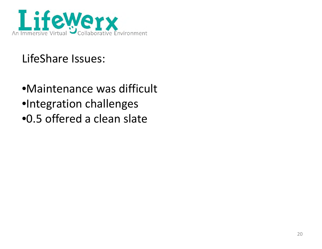

## LifeShare Issues:

•Maintenance was difficult •Integration challenges •0.5 offered a clean slate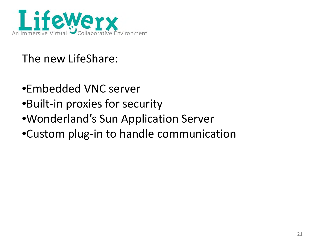

## The new LifeShare:

- •Embedded VNC server
- •Built‐in proxies for security
- •Wonderland's Sun Application Server
- •Custom plug‐in to handle communication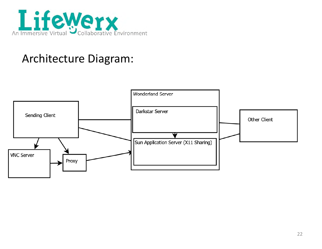

## Architecture Dia gram:

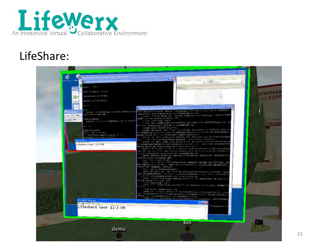

#### LifeShare:

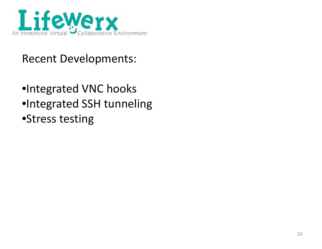

## Recent Developments:

•Integrated VNC hooks •Integrated SSH tunneling •Stress testing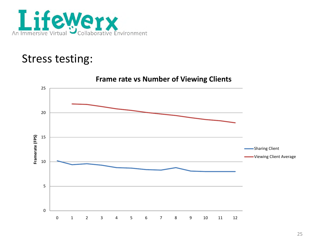

## Stress testing: